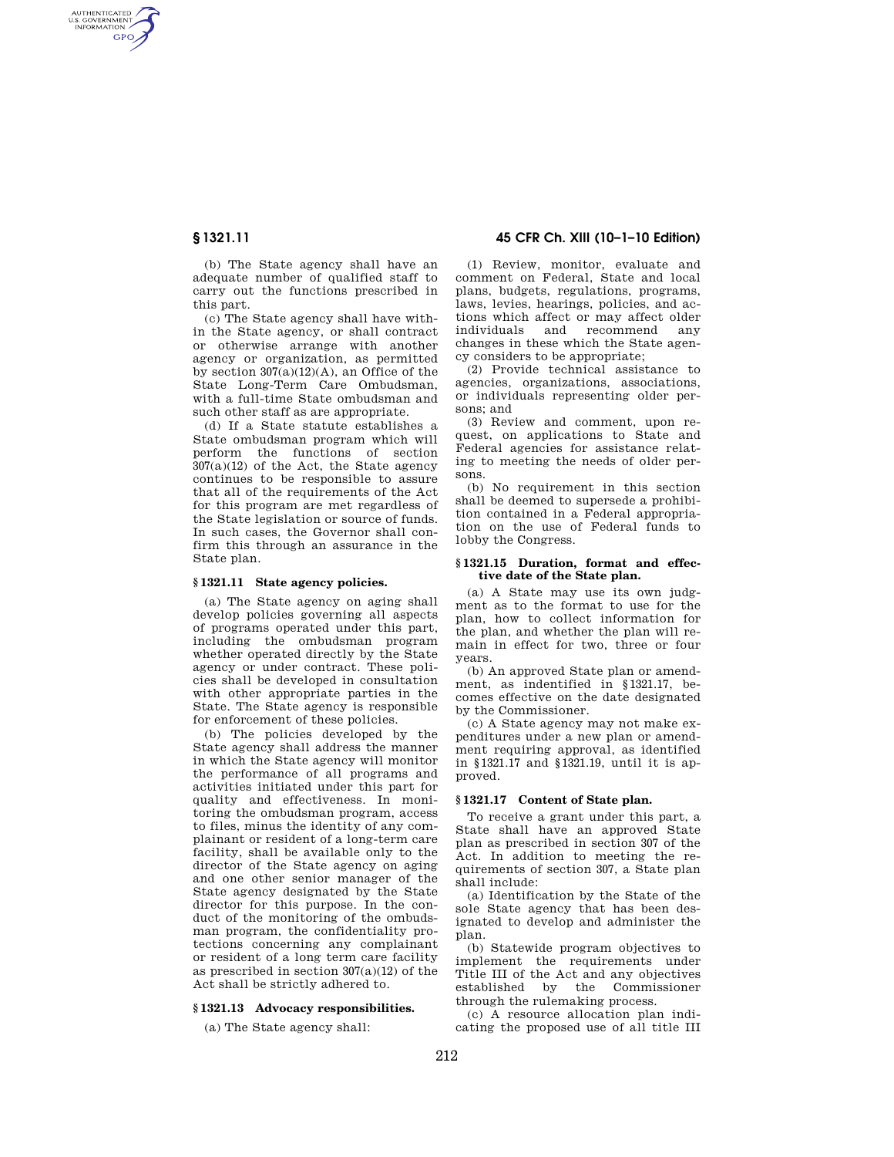AUTHENTICATED<br>U.S. GOVERNMENT<br>INFORMATION **GPO** 

**§ 1321.11 45 CFR Ch. XIII (10–1–10 Edition)** 

(b) The State agency shall have an adequate number of qualified staff to carry out the functions prescribed in this part.

(c) The State agency shall have within the State agency, or shall contract or otherwise arrange with another agency or organization, as permitted by section  $307(a)(12)(A)$ , an Office of the State Long-Term Care Ombudsman, with a full-time State ombudsman and such other staff as are appropriate.

(d) If a State statute establishes a State ombudsman program which will perform the functions of section 307(a)(12) of the Act, the State agency continues to be responsible to assure that all of the requirements of the Act for this program are met regardless of the State legislation or source of funds. In such cases, the Governor shall confirm this through an assurance in the State plan.

## **§ 1321.11 State agency policies.**

(a) The State agency on aging shall develop policies governing all aspects of programs operated under this part, including the ombudsman program whether operated directly by the State agency or under contract. These policies shall be developed in consultation with other appropriate parties in the State. The State agency is responsible for enforcement of these policies.

(b) The policies developed by the State agency shall address the manner in which the State agency will monitor the performance of all programs and activities initiated under this part for quality and effectiveness. In monitoring the ombudsman program, access to files, minus the identity of any complainant or resident of a long-term care facility, shall be available only to the director of the State agency on aging and one other senior manager of the State agency designated by the State director for this purpose. In the conduct of the monitoring of the ombudsman program, the confidentiality protections concerning any complainant or resident of a long term care facility as prescribed in section  $307(a)(12)$  of the Act shall be strictly adhered to.

### **§ 1321.13 Advocacy responsibilities.**

(a) The State agency shall:

(1) Review, monitor, evaluate and comment on Federal, State and local plans, budgets, regulations, programs, laws, levies, hearings, policies, and actions which affect or may affect older individuals and recommend any changes in these which the State agency considers to be appropriate;

(2) Provide technical assistance to agencies, organizations, associations, or individuals representing older persons; and

(3) Review and comment, upon request, on applications to State and Federal agencies for assistance relating to meeting the needs of older persons.

(b) No requirement in this section shall be deemed to supersede a prohibition contained in a Federal appropriation on the use of Federal funds to lobby the Congress.

### **§ 1321.15 Duration, format and effective date of the State plan.**

(a) A State may use its own judgment as to the format to use for the plan, how to collect information for the plan, and whether the plan will remain in effect for two, three or four years.

(b) An approved State plan or amendment, as indentified in §1321.17, becomes effective on the date designated by the Commissioner.

(c) A State agency may not make expenditures under a new plan or amendment requiring approval, as identified in §1321.17 and §1321.19, until it is approved.

## **§ 1321.17 Content of State plan.**

To receive a grant under this part, a State shall have an approved State plan as prescribed in section 307 of the Act. In addition to meeting the requirements of section 307, a State plan shall include:

(a) Identification by the State of the sole State agency that has been designated to develop and administer the plan.

(b) Statewide program objectives to implement the requirements under Title III of the Act and any objectives established by the Commissioner through the rulemaking process.

(c) A resource allocation plan indicating the proposed use of all title III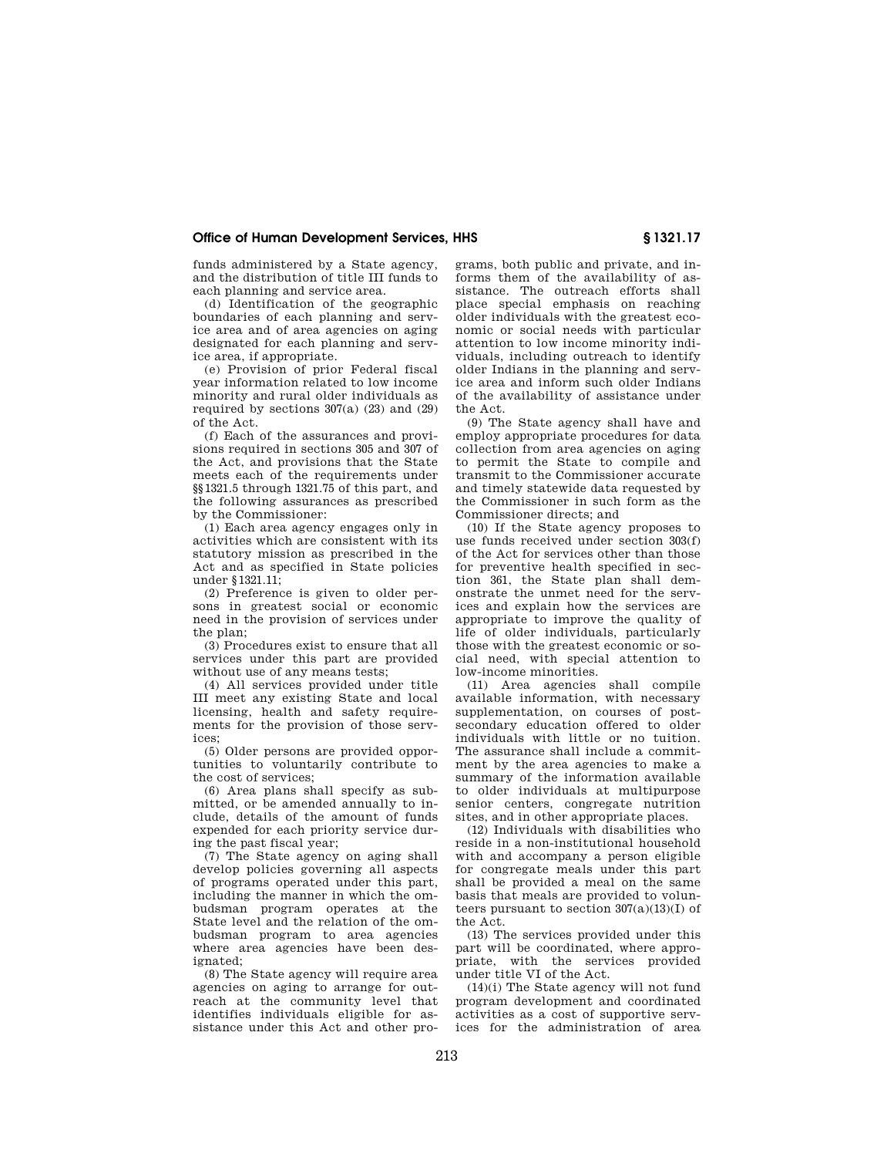# **Office of Human Development Services, HHS § 1321.17**

funds administered by a State agency, and the distribution of title III funds to each planning and service area.

(d) Identification of the geographic boundaries of each planning and service area and of area agencies on aging designated for each planning and service area, if appropriate.

(e) Provision of prior Federal fiscal year information related to low income minority and rural older individuals as required by sections  $307(a)$  (23) and (29) of the Act.

(f) Each of the assurances and provisions required in sections 305 and 307 of the Act, and provisions that the State meets each of the requirements under §§1321.5 through 1321.75 of this part, and the following assurances as prescribed by the Commissioner:

(1) Each area agency engages only in activities which are consistent with its statutory mission as prescribed in the Act and as specified in State policies under §1321.11;

(2) Preference is given to older persons in greatest social or economic need in the provision of services under the plan:

(3) Procedures exist to ensure that all services under this part are provided without use of any means tests;

(4) All services provided under title III meet any existing State and local licensing, health and safety requirements for the provision of those services;

(5) Older persons are provided opportunities to voluntarily contribute to the cost of services;

(6) Area plans shall specify as submitted, or be amended annually to include, details of the amount of funds expended for each priority service during the past fiscal year;

(7) The State agency on aging shall develop policies governing all aspects of programs operated under this part, including the manner in which the ombudsman program operates at the State level and the relation of the ombudsman program to area agencies where area agencies have been designated;

(8) The State agency will require area agencies on aging to arrange for outreach at the community level that identifies individuals eligible for assistance under this Act and other pro-

grams, both public and private, and informs them of the availability of assistance. The outreach efforts shall place special emphasis on reaching older individuals with the greatest economic or social needs with particular attention to low income minority individuals, including outreach to identify older Indians in the planning and service area and inform such older Indians of the availability of assistance under the Act.

(9) The State agency shall have and employ appropriate procedures for data collection from area agencies on aging to permit the State to compile and transmit to the Commissioner accurate and timely statewide data requested by the Commissioner in such form as the Commissioner directs; and

(10) If the State agency proposes to use funds received under section 303(f) of the Act for services other than those for preventive health specified in section 361, the State plan shall demonstrate the unmet need for the services and explain how the services are appropriate to improve the quality of life of older individuals, particularly those with the greatest economic or social need, with special attention to low-income minorities.

(11) Area agencies shall compile available information, with necessary supplementation, on courses of postsecondary education offered to older individuals with little or no tuition. The assurance shall include a commitment by the area agencies to make a summary of the information available to older individuals at multipurpose senior centers, congregate nutrition sites, and in other appropriate places.

(12) Individuals with disabilities who reside in a non-institutional household with and accompany a person eligible for congregate meals under this part shall be provided a meal on the same basis that meals are provided to volunteers pursuant to section  $307(a)(13)(I)$  of the Act.

(13) The services provided under this part will be coordinated, where appropriate, with the services provided under title VI of the Act.

(14)(i) The State agency will not fund program development and coordinated activities as a cost of supportive services for the administration of area